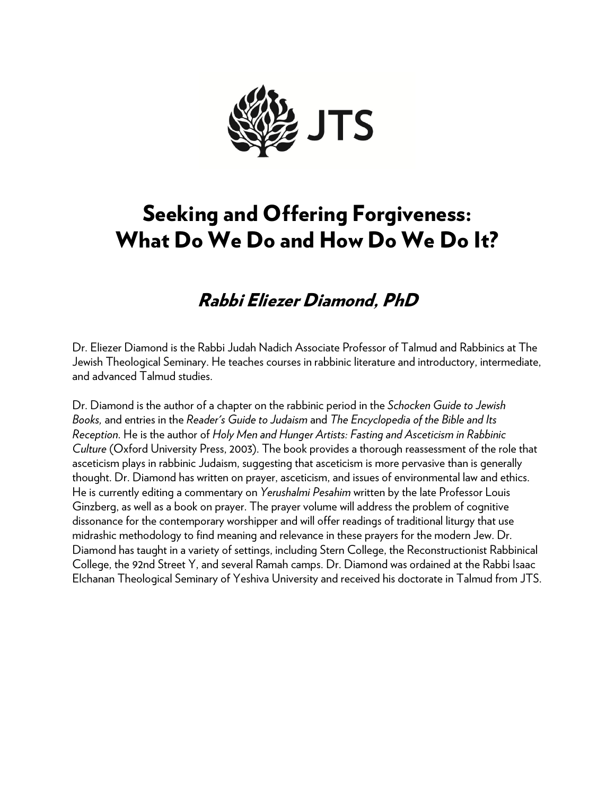

# Seeking and Offering Forgiveness: What Do We Do and How Do We Do It?

# Rabbi Eliezer Diamond, PhD

Dr. Eliezer Diamond is the Rabbi Judah Nadich Associate Professor of Talmud and Rabbinics at The Jewish Theological Seminary. He teaches courses in rabbinic literature and introductory, intermediate, and advanced Talmud studies.

Dr. Diamond is the author of a chapter on the rabbinic period in the *Schocken Guide to Jewish Books,* and entries in the *Reader's Guide to Judaism* and *The Encyclopedia of the Bible and Its Reception*. He is the author of *Holy Men and Hunger Artists: Fasting and Asceticism in Rabbinic Culture* (Oxford University Press, 2003). The book provides a thorough reassessment of the role that asceticism plays in rabbinic Judaism, suggesting that asceticism is more pervasive than is generally thought. Dr. Diamond has written on prayer, asceticism, and issues of environmental law and ethics. He is currently editing a commentary on *Yerushalmi Pesahim* written by the late Professor Louis Ginzberg, as well as a book on prayer. The prayer volume will address the problem of cognitive dissonance for the contemporary worshipper and will offer readings of traditional liturgy that use midrashic methodology to find meaning and relevance in these prayers for the modern Jew. Dr. Diamond has taught in a variety of settings, including Stern College, the Reconstructionist Rabbinical College, the 92nd Street Y, and several Ramah camps. Dr. Diamond was ordained at the Rabbi Isaac Elchanan Theological Seminary of Yeshiva University and received his doctorate in Talmud from JTS.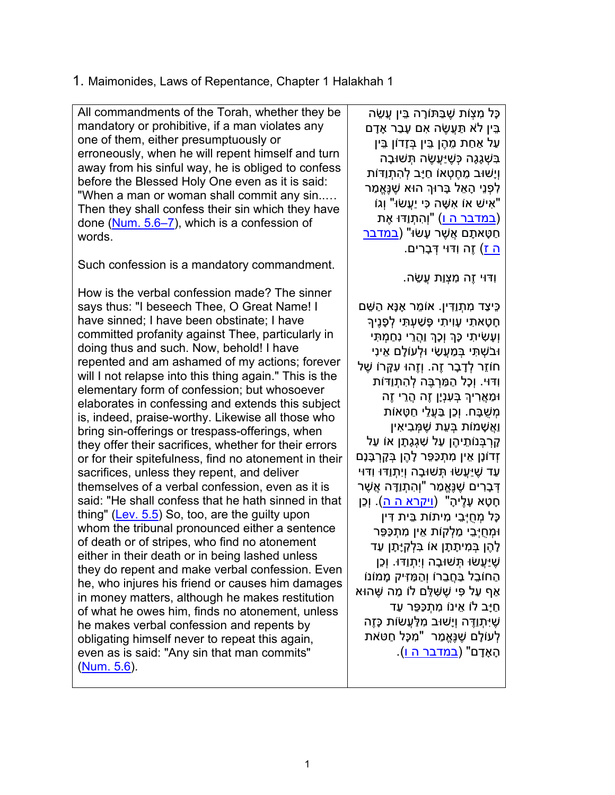#### 1. Maimonides, Laws of Repentance, Chapter 1 Halakhah 1

All commandments of the Torah, whether they be mandatory or prohibitive, if a man violates any one of them, either presumptuously or erroneously, when he will repent himself and turn away from his sinful way, he is obliged to confess before the Blessed Holy One even as it is said: "When a man or woman shall commit any sin..… Then they shall confess their sin which they have done (Num. 5.6–7), which is a confession of words.

Such confession is a mandatory commandment.

How is the verbal confession made? The sinner says thus: "I beseech Thee, O Great Name! I have sinned; I have been obstinate; I have committed profanity against Thee, particularly in doing thus and such. Now, behold! I have repented and am ashamed of my actions; forever will I not relapse into this thing again." This is the elementary form of confession; but whosoever elaborates in confessing and extends this subject is, indeed, praise-worthy. Likewise all those who bring sin-offerings or trespass-offerings, when they offer their sacrifices, whether for their errors or for their spitefulness, find no atonement in their sacrifices, unless they repent, and deliver themselves of a verbal confession, even as it is said: "He shall confess that he hath sinned in that thing" (Lev. 5.5) So, too, are the guilty upon whom the tribunal pronounced either a sentence of death or of stripes, who find no atonement either in their death or in being lashed unless they do repent and make verbal confession. Even he, who injures his friend or causes him damages in money matters, although he makes restitution of what he owes him, finds no atonement, unless he makes verbal confession and repents by obligating himself never to repeat this again, even as is said: "Any sin that man commits" (Num. 5.6).

ַ כָּל מָצָוֹת שֶׁבַּתּוֹרָה בֵּין עֵשָׂה בֵּיִן לֹא תַּעֲשֶׂה אִם עַבַר אַדַם ּ עַל אַחַת מֵהֶן בֵּין בְּזָדוֹן בֵּין בִשְׁגָּגָה כְּשֵׁ עֲשֶׂה תְּשׁוּבָה וְיָשׁוּב מֵ חֶ טְ אוֹ חַ יָּב לְ הִ תְ וַדּוֹת ַלְפָנֵי הָאֵל בָּרוּךְ הוּא שֶׁנֶּאֱמַר "אִ ישׁ אוֹ אִ שָּׁ ה כִּי יַעֲשׂוּ" וְגוֹ (במדבר ה ו) "וְהְתָוַדוּ אֶת חַ טָאתָם אֵשֶׁר עַשׂוּ" (במדבר ה ז) זֶה וִדּוּי דְּ בָ רִ ים.

וִדּוּי זֶה מִ צְ וַת עֲשֵׂ ה.

כִּיצַד מִתְוַדִּין. אוֹמֵר אָנָּא הַשֵּׁם חַטאתי עויתי פּשׁעתּי לפניך וְעָשִׂיתִי כָּךְ וְכָךְ וַהֲרֵי נְחַמְתִּי וּבֹשְׁ תִּ י בְּ מַ עֲשַׂ י וּלְ עוֹלָ ם אֵ ינִי חוֹזֵר לְ דָ בָ ר זֶה. וְזֶהוּ עִ קָּ רוֹ שֶׁ ל וִדּוּי. וְכָל הַ מַּ רְ בֶּ ה לְ הִ תְ וַדּוֹת ּ וּמַאֲרִיךָ בְּעָנָיָן זֶה הֲרֵי זֶה מְ שֻׁ בָּ ח. וְכֵן בַּ עֲלֵ י חַ טָּ אוֹת ֿוַאַשָׁמוֹת בְּעֵת שֶׁמְּבִיאִין קָ רְ בְּ נוֹתֵ יהֶ ן עַל שִׁ גְ גָתָ ן אוֹ עַל ֹזְדוֹנָן אֵין מִתְכַּפֵּר לָהֵן בְּקָרְבָּנָם ּ עַד שֶׁיַּעֲשׂוּ תָּשׁוּבָה וְיִתְוַדּוּ וִדּוּי דְּבָרִים שֶׁנֶּאֱמַר "וְהִתְוַדָּה אֲשֶׁר חָטָא עָלֶיהָ" (<u>ויקרא ה ה</u>). וְכֵן כָּל מְ חֻיְּבֵ י מִ יתוֹת בֵּ ית דִּ ין וּמִחי<sup>ּ</sup>בי מלקות אין מתכּפּר ַ לְהֶן בְּמִיתָתָן אוֹ בִּלְקָיָּתָן עַד ּשֶׁ יַּעֲשׂוּ תְּשׁוּבָה וְיִתְוַדּוּ. וְכֵן הַ הַחוֹבֵל בַּחֲבֵרוֹ וְהַמַּזִּיק מַמּוֹנוֹ אַף עַל פִּי שֵׁשָּׁלֵּם לוֹ מַה שֵׁהוּא ּחַיָּב לוֹ אֵינוֹ מִתְכַּפֵּר עַד שֶׁ יִּתְ וַדֶּ ה וְיָשׁוּב מִ לַּ עֲשׂוֹת כָּזֶה ַלְעוֹלָם שֶׁנֶּאֱמַר "מִכָּל חַטּאת הָ אָ דָ ם" (במדבר ה ו).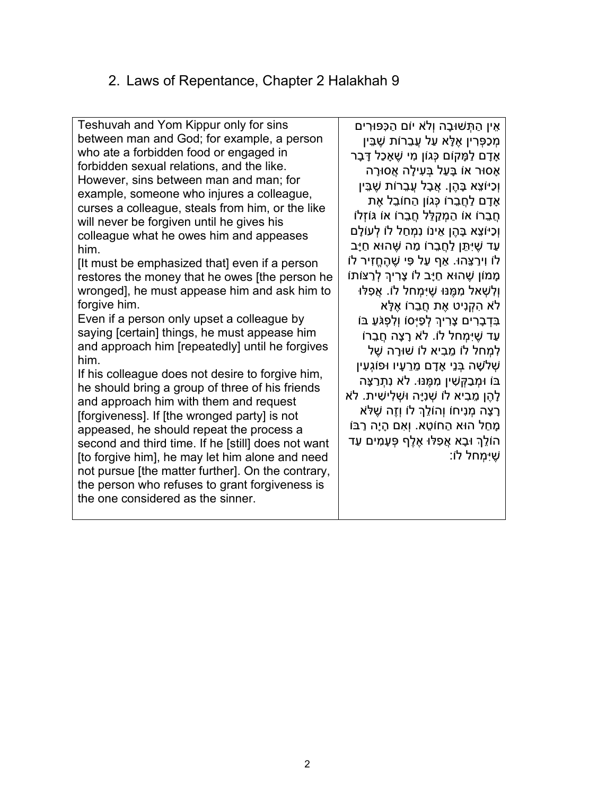# 2. Laws of Repentance, Chapter 2 Halakhah 9

Teshuvah and Yom Kippur only for sins between man and God; for example, a person who ate a forbidden food or engaged in forbidden sexual relations, and the like. However, sins between man and man; for example, someone who injures a colleague, curses a colleague, steals from him, or the like will never be forgiven until he gives his colleague what he owes him and appeases him.

[It must be emphasized that] even if a person restores the money that he owes [the person he wronged], he must appease him and ask him to forgive him.

Even if a person only upset a colleague by saying [certain] things, he must appease him and approach him [repeatedly] until he forgives him.

If his colleague does not desire to forgive him, he should bring a group of three of his friends and approach him with them and request [forgiveness]. If [the wronged party] is not appeased, he should repeat the process a second and third time. If he [still] does not want [to forgive him], he may let him alone and need not pursue [the matter further]. On the contrary, the person who refuses to grant forgiveness is the one considered as the sinner.

אֵ ין הַ תְּ שׁוּבָ ה וְלֹא יוֹם הַ כִּפּוּרִ ים מְ כַפְּ רִ ין אֶ לָּ א עַל עֲבֵ רוֹת שֶׁ בֵּ ין אַדם למַקוֹם כּגוֹן מי שַׁאַכל דַּבַר ּ אָסוּר אוֹ בָּעַל בְּעִילָה אֲסוּרָה וְכַיּוֹצֵא בָּהֶן. אָבָל עֲבֵרוֹת שֶׁבֵּין ֿ אַדָם לַחֲבֶרוֹ כָּגוֹן הַחוֹבֵל אֶת ּ חַבֵרוֹ אוֹ הַמְקַלֵּל חֲבָרוֹ אוֹ גּוֹזְלוֹ וְכַיוֹצֵא בָּהֶן אֵינוֹ נִמְחַל לוֹ לְעוֹלָם ַ עַד שֵׁיְּתֵּן לַחֲבֵרוֹ מֵה שֶׁהוּא חַיָּב לוֹ וִירַ צֵּהוּ. אַ ף עַל פִּ י שֶׁ הֶ חֱזִיר לוֹ ּמְמוֹן שֶׁהוּא חַיָּב לוֹ צָרִיךְ לְרַצּוֹתוֹ ּוְלִשְׁאל מְמֵּנּוּ שֶׁיִּמְחל לוֹ. אֵפְלּוּ לֹא הקניט את חברוֹ אלָא ּ בִּדְבָרִים צַרִיךְ לְפַיְּסוֹ וַלְפָגֹּעַ בּוֹ ּעד שִׁיּמַחל לוֹ. לֹא רָצָה חַבַּרוֹ למחל לוֹ מביא לוֹ שׁוּרָה שַׁל שלשה בּנִי אַדָם מרעיו וּפּוֹגעין בּוֹ וּמְ בַ קְּ שִׁ ין מִ מֶּ נּוּ. לֹא נִתְ רַ צָּה לָהֶ ן מֵ בִ יא לוֹ שְׁ נִיָּה וּשְׁ לִ ישִׁ ית. לֹא ּרַצָה מִנִיחוֹ וְהוֹלֵךְ לוֹ וְזֶה שֶׁלֹּא ְמַחַל הוּא הַחוֹטֵא. וְאִם הַיָה רַבּוֹ הוֹלֶךְ וּבָא אֵפְלּוּ אֶלֶף פְּעָמִים עַד שֶׁ יִּמְ חל לוֹ: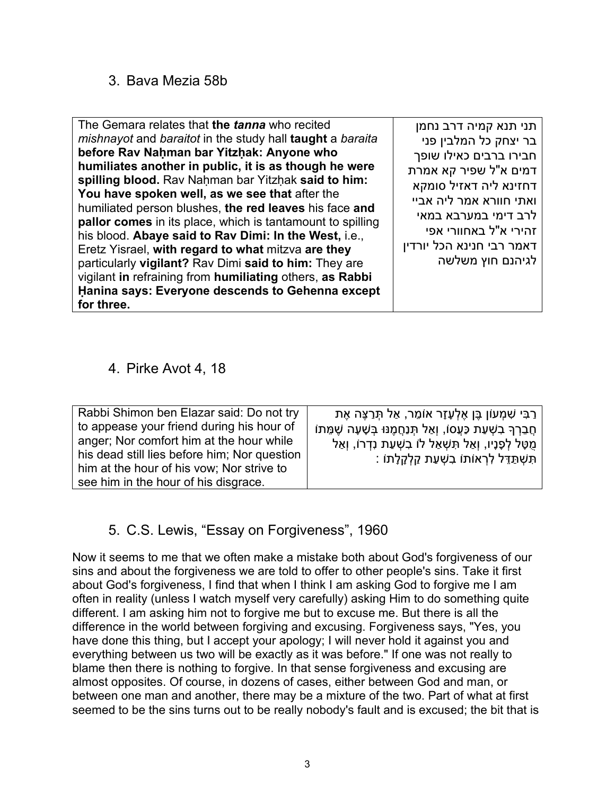#### 3. Bava Mezia 58b

| The Gemara relates that the tanna who recited<br>mishnayot and baraitot in the study hall taught a baraita<br>before Rav Nahman bar Yitzhak: Anyone who<br>humiliates another in public, it is as though he were<br>spilling blood. Rav Nahman bar Yitzhak said to him:<br>You have spoken well, as we see that after the<br>humiliated person blushes, the red leaves his face and<br><b>pallor comes</b> in its place, which is tantamount to spilling<br>his blood. Abaye said to Rav Dimi: In the West, i.e.,<br>Eretz Yisrael, with regard to what mitzva are they<br>particularly vigilant? Rav Dimi said to him: They are<br>vigilant in refraining from humiliating others, as Rabbi<br>Hanina says: Everyone descends to Gehenna except<br>for three. | תני תנא קמיה דרב נחמן<br>בר יצחק כל המלבין פני<br>חבירו ברבים כאילו שופך<br>דמים א"ל שפיר קא אמרת<br>דחזינא ליה דאזיל סומקא<br>ואתי חוורא אמר ליה אביי<br>לרב דימי במערבא במאי<br>זהירי א"ל באחוורי אפי<br>דאמר רבי חנינא הכל יורדין<br>לגיהנם חוץ משלשה |
|----------------------------------------------------------------------------------------------------------------------------------------------------------------------------------------------------------------------------------------------------------------------------------------------------------------------------------------------------------------------------------------------------------------------------------------------------------------------------------------------------------------------------------------------------------------------------------------------------------------------------------------------------------------------------------------------------------------------------------------------------------------|----------------------------------------------------------------------------------------------------------------------------------------------------------------------------------------------------------------------------------------------------------|
|----------------------------------------------------------------------------------------------------------------------------------------------------------------------------------------------------------------------------------------------------------------------------------------------------------------------------------------------------------------------------------------------------------------------------------------------------------------------------------------------------------------------------------------------------------------------------------------------------------------------------------------------------------------------------------------------------------------------------------------------------------------|----------------------------------------------------------------------------------------------------------------------------------------------------------------------------------------------------------------------------------------------------------|

#### 4. Pirke Avot 4, 18

| Rabbi Shimon ben Elazar said: Do not try     | ן רַבִּי שִׁמְעוֹן בֵּן אֵלְעָזָר אוֹמֵר, אַל תְּרַצֵּה אֶת         |
|----------------------------------------------|---------------------------------------------------------------------|
| to appease your friend during his hour of    | ּחֲבֵרְךָ בִשְׁעַת כַּעֲס), וְאַל תְּנַחֲמֶנּוּ בְּשָׁעָה שֶׁמֵּתוֹ |
| anger; Nor comfort him at the hour while     | ּמֻטָּל לְפָנָיו, וְאַל תִּשְׁאַל לוֹ בִשְׁעַת נִדְרוֹ, וְאַל       |
| his dead still lies before him; Nor question | ּתִּשְׁתַּדֵּל לְרְאוֹתוֹ בִשְׁעַת קַלְקָלָתוֹ :                    |
| him at the hour of his yow; Nor strive to    |                                                                     |
| see him in the hour of his disgrace.         |                                                                     |

#### 5. C.S. Lewis, "Essay on Forgiveness", 1960

Now it seems to me that we often make a mistake both about God's forgiveness of our sins and about the forgiveness we are told to offer to other people's sins. Take it first about God's forgiveness, I find that when I think I am asking God to forgive me I am often in reality (unless I watch myself very carefully) asking Him to do something quite different. I am asking him not to forgive me but to excuse me. But there is all the difference in the world between forgiving and excusing. Forgiveness says, "Yes, you have done this thing, but I accept your apology; I will never hold it against you and everything between us two will be exactly as it was before." If one was not really to blame then there is nothing to forgive. In that sense forgiveness and excusing are almost opposites. Of course, in dozens of cases, either between God and man, or between one man and another, there may be a mixture of the two. Part of what at first seemed to be the sins turns out to be really nobody's fault and is excused; the bit that is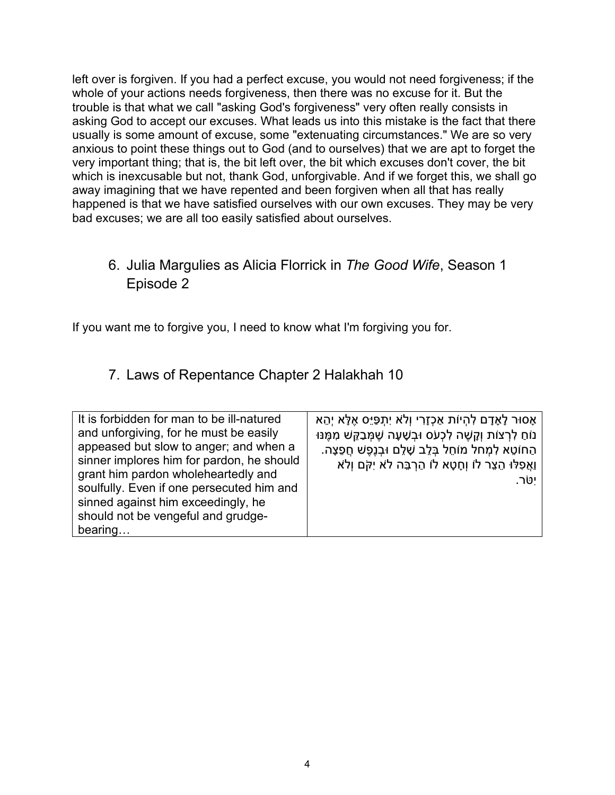left over is forgiven. If you had a perfect excuse, you would not need forgiveness; if the whole of your actions needs forgiveness, then there was no excuse for it. But the trouble is that what we call "asking God's forgiveness" very often really consists in asking God to accept our excuses. What leads us into this mistake is the fact that there usually is some amount of excuse, some "extenuating circumstances." We are so very anxious to point these things out to God (and to ourselves) that we are apt to forget the very important thing; that is, the bit left over, the bit which excuses don't cover, the bit which is inexcusable but not, thank God, unforgivable. And if we forget this, we shall go away imagining that we have repented and been forgiven when all that has really happened is that we have satisfied ourselves with our own excuses. They may be very bad excuses; we are all too easily satisfied about ourselves.

# 6. Julia Margulies as Alicia Florrick in *The Good Wife*, Season 1 Episode 2

If you want me to forgive you, I need to know what I'm forgiving you for.

# 7. Laws of Repentance Chapter 2 Halakhah 10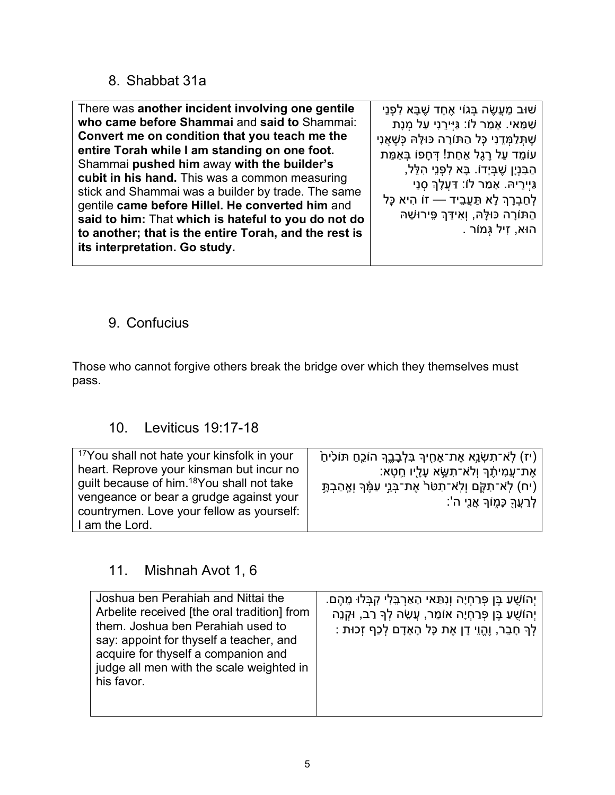#### 8. Shabbat 31a

There was **another incident involving one gentile who came before Shammai** and **said to** Shammai: **Convert me on condition that you teach me the entire Torah while I am standing on one foot.** Shammai **pushed him** away **with the builder's cubit in his hand.** This was a common measuring stick and Shammai was a builder by trade. The same gentile **came before Hillel. He converted him** and **said to him:** That **which is hateful to you do not do to another; that is the entire Torah, and the rest is its interpretation. Go study.** ּשׁוּב מַעֲשֶׂה בָּגוֹי אֶחָד שֶׁבָּא לְפְנֵי ּשַׁמַּאי. אָמַר לוֹ: גַּיְּירֵנִי עַל מְנָת ּשֶׁתָּלַמְּדֵנִי כַּל הַתּוֹרָה כּוּלֵּהּ כִּשֶׁאֲנִי עוֹמֵד עַל רֶגֶל אַחַת! דְּחָפּוֹ בְּאַמַּת הַבִּנְיָן שֶׁבְּיָדוֹ. בָּא לִפְנֵי הָלֵל, גַּיְירֵ יהּ. אָ מַ ר לוֹ: דַּ עֲלָ � סְ נֵי לְחַבְרָךְ לָא תַּעֲבֵיד — זוֹ הִיא כָּל הַתּוֹרָה כּוּלָּהּ, וְאִידַּךְ פֵּירוּשַׁהּ הוּא, זִיל גְּ מוֹר .

# 9. Confucius

Those who cannot forgive others break the bridge over which they themselves must pass.

#### 10. Leviticus 19:17-18

#### 11. Mishnah Avot 1, 6

| Joshua ben Perahiah and Nittai the<br>Arbelite received [the oral tradition] from<br>them. Joshua ben Perahiah used to<br>say: appoint for thyself a teacher, and<br>acquire for thyself a companion and<br>judge all men with the scale weighted in<br>his favor. | ְיָהוֹשֵׁעַ בֵּן פְּרַחְיָה וְנִתַּאי הָאַרְבֵּלִי קִבְּלוּ מֵהֶם.<br>ְיָהוֹשֻׁעַ בֵּן פְּרַחְיָה אוֹמֵר, עֲשֶׂה לְךָּ רַב, וּקְנֵה<br>ֹלְךָּ חָבֵר, וֶהֱוֵי דָן אֶת כָּל הָאָדָם לְכַף זְכוּת : |
|--------------------------------------------------------------------------------------------------------------------------------------------------------------------------------------------------------------------------------------------------------------------|--------------------------------------------------------------------------------------------------------------------------------------------------------------------------------------------------|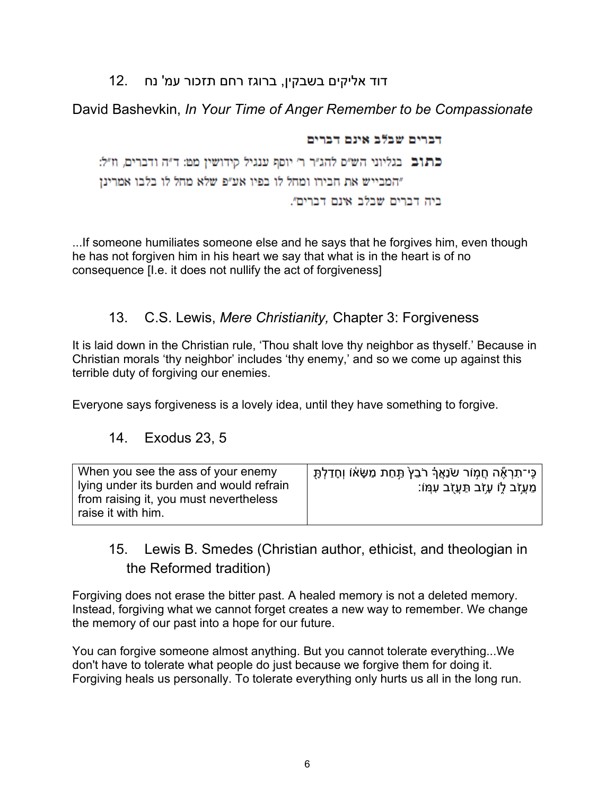# דוד אליקים בשבקין, ברוגז רחם תזכור עמ' נח 12.

#### David Bashevkin, *In Your Time of Anger Remember to be Compassionate*

דברים שבלב אינם דברים כתוב בגליוני הש״ם להג״ר ר׳ יוסף ענגיל קידושין מט: ד״ה ודברים, וז״ל: "המבייש את חבירו ומחל לו בפיו אע"פ שלא מחל לו בלבו אמרינן ביה דברים שבלב אינם דברים״.

...If someone humiliates someone else and he says that he forgives him, even though he has not forgiven him in his heart we say that what is in the heart is of no consequence [I.e. it does not nullify the act of forgiveness]

#### 13. C.S. Lewis, *Mere Christianity,* Chapter 3: Forgiveness

It is laid down in the Christian rule, 'Thou shalt love thy neighbor as thyself.' Because in Christian morals 'thy neighbor' includes 'thy enemy,' and so we come up against this terrible duty of forgiving our enemies.

Everyone says forgiveness is a lovely idea, until they have something to forgive.

#### 14. Exodus 23, 5

| When you see the ass of your enemy<br>I lying under its burden and would refrain<br>from raising it, you must nevertheless<br>raise it with him. | ְ כֵּי־תִרְאֶۢה חֵמְוֹר שֹׂנַאֲךָ רֹבֵץ תַּחַת מַשָּׂאוֹ וְחָדַלְתָּ  <br>ְמֵעֲזֹב לֶוֹ עָזֹב תַּעֲזָב עִמְּוֹ: |
|--------------------------------------------------------------------------------------------------------------------------------------------------|-----------------------------------------------------------------------------------------------------------------|
|--------------------------------------------------------------------------------------------------------------------------------------------------|-----------------------------------------------------------------------------------------------------------------|

# 15. Lewis B. Smedes (Christian author, ethicist, and theologian in the Reformed tradition)

Forgiving does not erase the bitter past. A healed memory is not a deleted memory. Instead, forgiving what we cannot forget creates a new way to remember. We change the memory of our past into a hope for our future.

[You can forgive someone almost anything. But you cannot tolerate everything...We](https://www.azquotes.com/quote/563697)  [don't have to tolerate what people do just because we forgive them for doing it.](https://www.azquotes.com/quote/563697)  [Forgiving heals us personally. To tolerate everything only hurts us all in the long run.](https://www.azquotes.com/quote/563697)